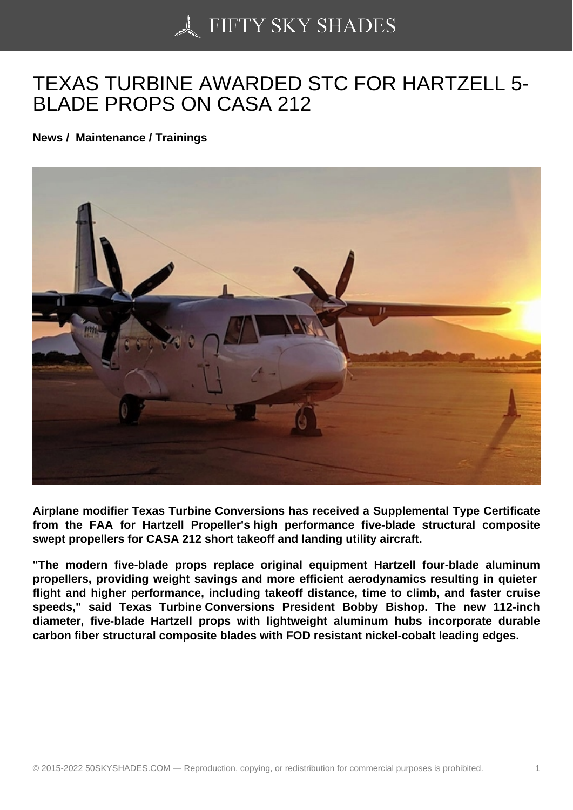## [TEXAS TURBINE AWA](https://50skyshades.com)RDED STC FOR HARTZELL 5- BLADE PROPS ON CASA 212

News / Maintenance / Trainings

Airplane modifier Texas Turbine Conversions has received a Supplemental Type Certificate from the FAA for Hartzell Propeller's high performance five-blade structural composite swept propellers for CASA 212 short takeoff and landing utility aircraft.

"The modern five-blade props replace original equipment Hartzell four-blade aluminum propellers, providing weight savings and more efficient aerodynamics resulting in quieter flight and higher performance, including takeoff distance, time to climb, and faster cruise speeds," said Texas Turbine Conversions President Bobby Bishop. The new 112-inch diameter, five-blade Hartzell props with lightweight aluminum hubs incorporate durable carbon fiber structural composite blades with FOD resistant nickel-cobalt leading edges.